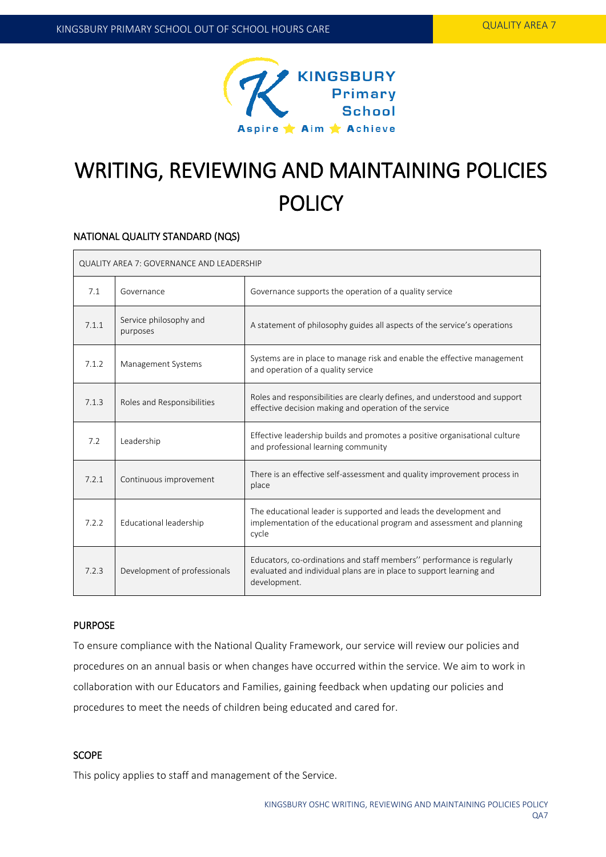

# WRITING, REVIEWING AND MAINTAINING POLICIES **POLICY**

#### NATIONAL QUALITY STANDARD (NQS)

| QUALITY AREA 7: GOVERNANCE AND LEADERSHIP |                                    |                                                                                                                                                              |  |  |
|-------------------------------------------|------------------------------------|--------------------------------------------------------------------------------------------------------------------------------------------------------------|--|--|
| 7.1                                       | Governance                         | Governance supports the operation of a quality service                                                                                                       |  |  |
| 7.1.1                                     | Service philosophy and<br>purposes | A statement of philosophy guides all aspects of the service's operations                                                                                     |  |  |
| 7.1.2                                     | Management Systems                 | Systems are in place to manage risk and enable the effective management<br>and operation of a quality service                                                |  |  |
| 7.1.3                                     | Roles and Responsibilities         | Roles and responsibilities are clearly defines, and understood and support<br>effective decision making and operation of the service                         |  |  |
| 7.2                                       | Leadership                         | Effective leadership builds and promotes a positive organisational culture<br>and professional learning community                                            |  |  |
| 7.2.1                                     | Continuous improvement             | There is an effective self-assessment and quality improvement process in<br>place                                                                            |  |  |
| 7.2.2                                     | Educational leadership             | The educational leader is supported and leads the development and<br>implementation of the educational program and assessment and planning<br>cycle          |  |  |
| 7.2.3                                     | Development of professionals       | Educators, co-ordinations and staff members" performance is regularly<br>evaluated and individual plans are in place to support learning and<br>development. |  |  |

### PURPOSE

To ensure compliance with the National Quality Framework, our service will review our policies and procedures on an annual basis or when changes have occurred within the service. We aim to work in collaboration with our Educators and Families, gaining feedback when updating our policies and procedures to meet the needs of children being educated and cared for.

## **SCOPE**

This policy applies to staff and management of the Service.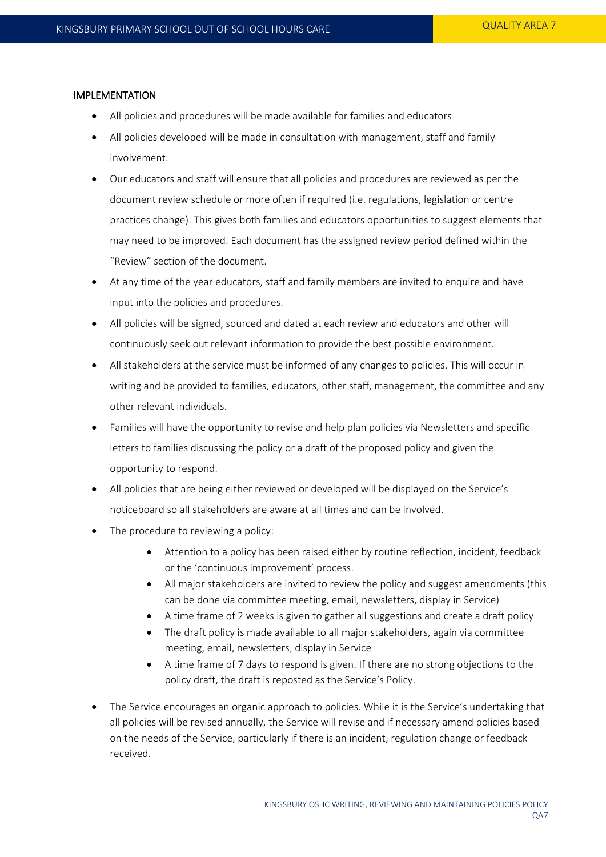#### IMPLEMENTATION

- All policies and procedures will be made available for families and educators
- All policies developed will be made in consultation with management, staff and family involvement.
- Our educators and staff will ensure that all policies and procedures are reviewed as per the document review schedule or more often if required (i.e. regulations, legislation or centre practices change). This gives both families and educators opportunities to suggest elements that may need to be improved. Each document has the assigned review period defined within the "Review" section of the document.
- At any time of the year educators, staff and family members are invited to enquire and have input into the policies and procedures.
- All policies will be signed, sourced and dated at each review and educators and other will continuously seek out relevant information to provide the best possible environment.
- All stakeholders at the service must be informed of any changes to policies. This will occur in writing and be provided to families, educators, other staff, management, the committee and any other relevant individuals.
- Families will have the opportunity to revise and help plan policies via Newsletters and specific letters to families discussing the policy or a draft of the proposed policy and given the opportunity to respond.
- All policies that are being either reviewed or developed will be displayed on the Service's noticeboard so all stakeholders are aware at all times and can be involved.
- The procedure to reviewing a policy:
	- Attention to a policy has been raised either by routine reflection, incident, feedback or the 'continuous improvement' process.
	- All major stakeholders are invited to review the policy and suggest amendments (this can be done via committee meeting, email, newsletters, display in Service)
	- A time frame of 2 weeks is given to gather all suggestions and create a draft policy
	- The draft policy is made available to all major stakeholders, again via committee meeting, email, newsletters, display in Service
	- A time frame of 7 days to respond is given. If there are no strong objections to the policy draft, the draft is reposted as the Service's Policy.
- The Service encourages an organic approach to policies. While it is the Service's undertaking that all policies will be revised annually, the Service will revise and if necessary amend policies based on the needs of the Service, particularly if there is an incident, regulation change or feedback received.